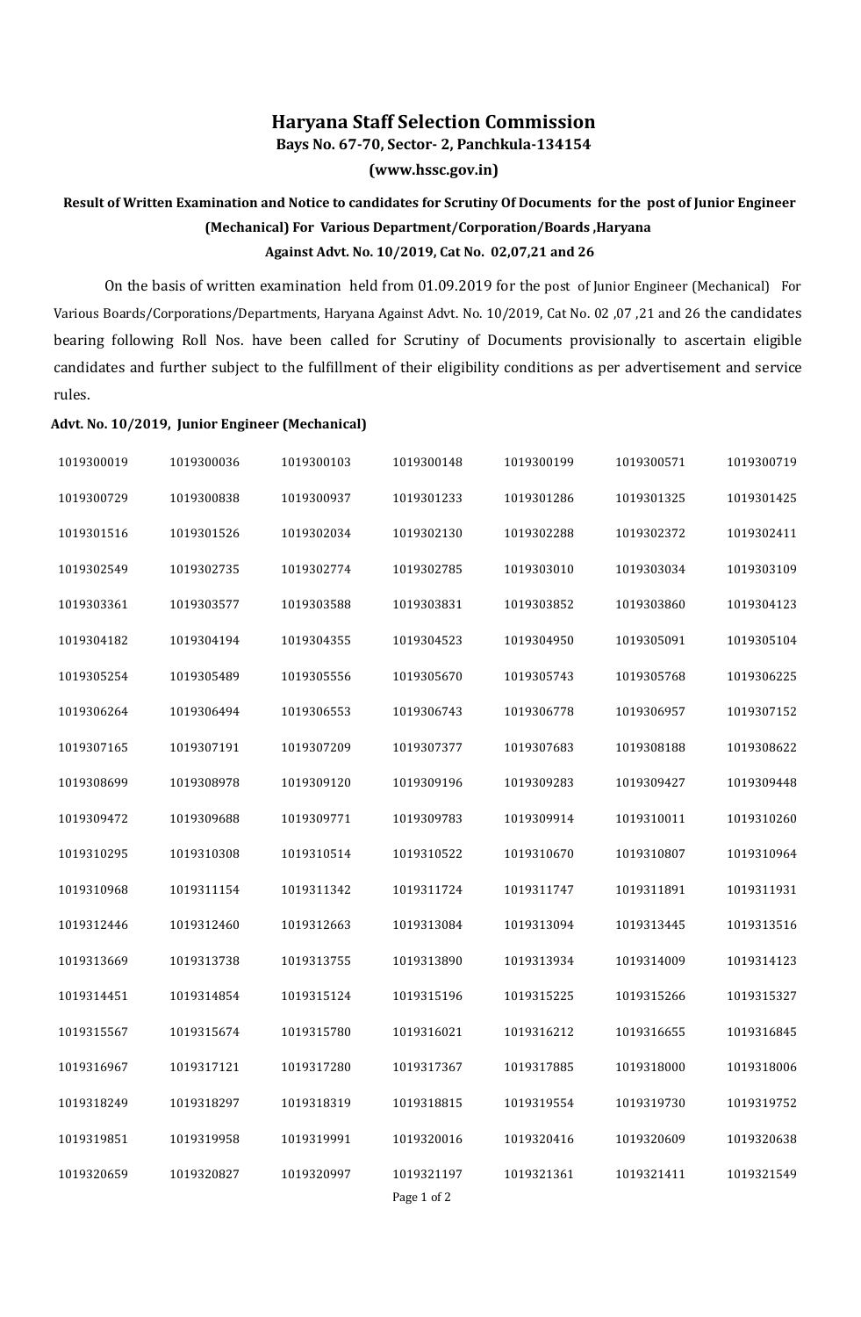## **Haryana Staff Selection Commission**

**Bays No. 67-70, Sector- 2, Panchkula-134154**

**(www.hssc.gov.in)**

## **Result of Written Examination and Notice to candidates for Scrutiny Of Documents for the post of Junior Engineer (Mechanical) For Various Department/Corporation/Boards ,Haryana Against Advt. No. 10/2019, Cat No. 02,07,21 and 26**

On the basis of written examination held from 01.09.2019 for the post of Junior Engineer (Mechanical) For Various Boards/Corporations/Departments, Haryana Against Advt. No. 10/2019, Cat No. 02 ,07 ,21 and 26 the candidates bearing following Roll Nos. have been called for Scrutiny of Documents provisionally to ascertain eligible candidates and further subject to the fulfillment of their eligibility conditions as per advertisement and service rules.

## **Advt. No. 10/2019, Junior Engineer (Mechanical)**

| 1019300019 | 1019300036 | 1019300103 | 1019300148  | 1019300199 | 1019300571 | 1019300719 |
|------------|------------|------------|-------------|------------|------------|------------|
| 1019300729 | 1019300838 | 1019300937 | 1019301233  | 1019301286 | 1019301325 | 1019301425 |
| 1019301516 | 1019301526 | 1019302034 | 1019302130  | 1019302288 | 1019302372 | 1019302411 |
| 1019302549 | 1019302735 | 1019302774 | 1019302785  | 1019303010 | 1019303034 | 1019303109 |
| 1019303361 | 1019303577 | 1019303588 | 1019303831  | 1019303852 | 1019303860 | 1019304123 |
| 1019304182 | 1019304194 | 1019304355 | 1019304523  | 1019304950 | 1019305091 | 1019305104 |
| 1019305254 | 1019305489 | 1019305556 | 1019305670  | 1019305743 | 1019305768 | 1019306225 |
| 1019306264 | 1019306494 | 1019306553 | 1019306743  | 1019306778 | 1019306957 | 1019307152 |
| 1019307165 | 1019307191 | 1019307209 | 1019307377  | 1019307683 | 1019308188 | 1019308622 |
| 1019308699 | 1019308978 | 1019309120 | 1019309196  | 1019309283 | 1019309427 | 1019309448 |
| 1019309472 | 1019309688 | 1019309771 | 1019309783  | 1019309914 | 1019310011 | 1019310260 |
| 1019310295 | 1019310308 | 1019310514 | 1019310522  | 1019310670 | 1019310807 | 1019310964 |
| 1019310968 | 1019311154 | 1019311342 | 1019311724  | 1019311747 | 1019311891 | 1019311931 |
| 1019312446 | 1019312460 | 1019312663 | 1019313084  | 1019313094 | 1019313445 | 1019313516 |
| 1019313669 | 1019313738 | 1019313755 | 1019313890  | 1019313934 | 1019314009 | 1019314123 |
| 1019314451 | 1019314854 | 1019315124 | 1019315196  | 1019315225 | 1019315266 | 1019315327 |
| 1019315567 | 1019315674 | 1019315780 | 1019316021  | 1019316212 | 1019316655 | 1019316845 |
| 1019316967 | 1019317121 | 1019317280 | 1019317367  | 1019317885 | 1019318000 | 1019318006 |
| 1019318249 | 1019318297 | 1019318319 | 1019318815  | 1019319554 | 1019319730 | 1019319752 |
| 1019319851 | 1019319958 | 1019319991 | 1019320016  | 1019320416 | 1019320609 | 1019320638 |
| 1019320659 | 1019320827 | 1019320997 | 1019321197  | 1019321361 | 1019321411 | 1019321549 |
|            |            |            | Page 1 of 2 |            |            |            |